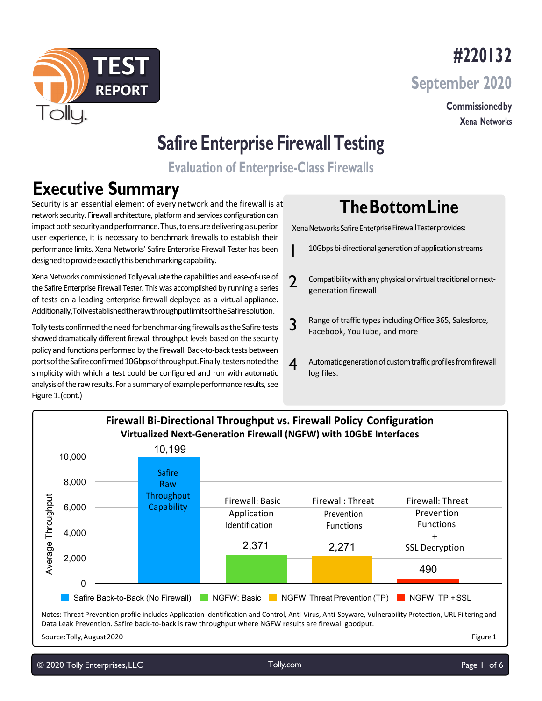

**#220132 September 2020**

> **Commissionedby Xena Networks**

# **Safire Enterprise Firewall Testing**

**Evaluation of Enterprise-Class Firewalls**

1

# **Executive Summary**

Security is an essential element of every network and the firewall is at network security. Firewall architecture, platform and services configurationcan impact both security and performance. Thus, to ensure delivering a superior user experience, it is necessary to benchmark firewalls to establish their performance limits. Xena Networks' Safire Enterprise Firewall Tester has been designed to provide exactly this benchmarking capability.

Xena Networks commissioned Tolly evaluate the capabilities and ease-of-use of the Safire Enterprise Firewall Tester. This was accomplished by running a series of tests on a leading enterprise firewall deployed as a virtual appliance. Additionally,TollyestablishedtherawthroughputlimitsoftheSafiresolution.

Tolly tests confirmed the need for benchmarking firewalls as the Safire tests showed dramatically different firewall throughput levels based on the security policy and functions performed by the firewall. Back-to-back tests between ports of the Safire confirmed 10Gbps of throughput. Finally, testers noted the simplicity with which a test could be configured and run with automatic analysis of the raw results. For a summary of example performance results, see Figure 1.(cont.)

# **TheBottomLine**

Xena Networks Safire Enterprise Firewall Tester provides:

- 10Gbps bi-directional generation of application streams
- 2 Compatibility with any physical or virtual traditional or nextgeneration firewall
- 3 Range of traffic types including Office 365, Salesforce, Facebook, YouTube, and more
- $\boldsymbol{A}$  Automatic generation of custom traffic profiles from firewall log files.



Data Leak Prevention. Safire back-to-back is raw throughput where NGFW results are firewall goodput.

Source:Tolly,August2020 Figure 1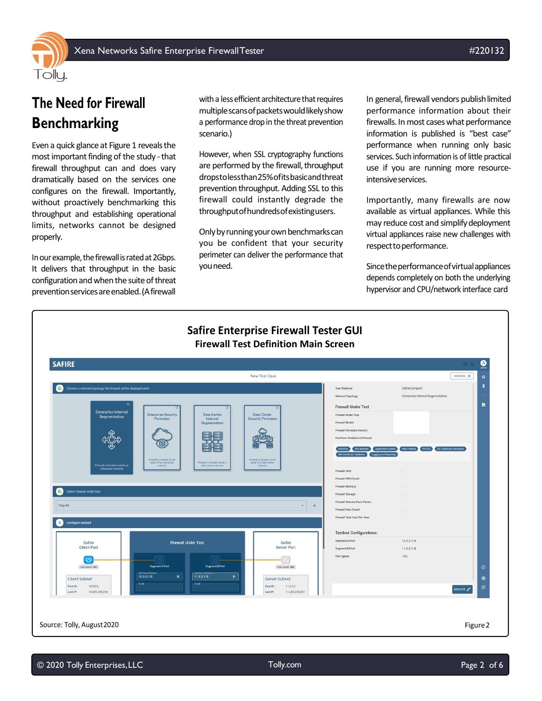



Even a quick glance at Figure 1 reveals the most important finding of the study - that firewall throughput can and does vary dramatically based on the services one configures on the firewall. Importantly, without proactively benchmarking this throughput and establishing operational limits, networks cannot be designed properly.

In our example, the firewall is rated at 2Gbps. It delivers that throughput in the basic configuration and when the suite of threat prevention services are enabled. (A firewall

with a less efficient architecture that requires multiple scans of packets would likely show a performance drop in the threat prevention scenario.)

However, when SSL cryptography functions are performed by the firewall, throughput dropstolessthan25%ofitsbasicandthreat prevention throughput. Adding SSL to this firewall could instantly degrade the throughputofhundredsofexistingusers.

Only by running your own benchmarks can you be confident that your security perimeter can deliver the performance that youneed.

In general, firewall vendors publish limited performance information about their firewalls. In most cases what performance information is published is "best case" performance when running only basic services. Such information is of little practical use if you are running more resourceintensive services.

Importantly, many firewalls are now available as virtual appliances. While this may reduce cost and simplifydeployment virtual appliances raise new challenges with respect to performance.

Sincetheperformanceofvirtualappliances depends completely on both the underlying hypervisor and CPU/network interface card

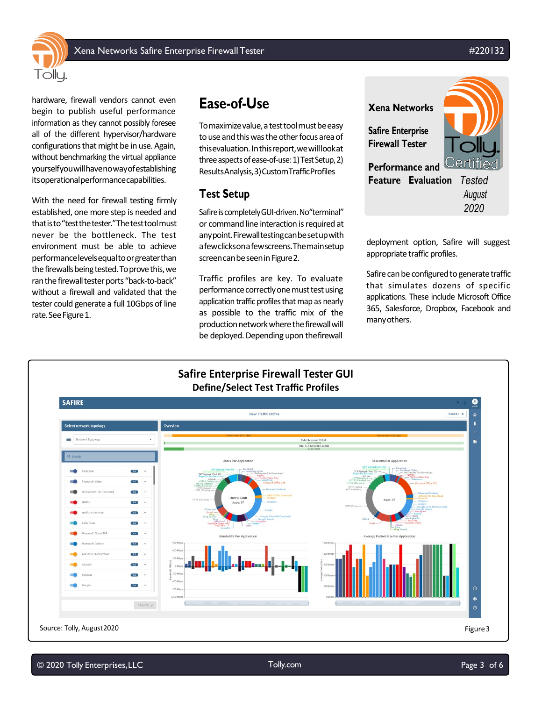Xena Networks Safire Enterprise Firewall Tester #200132



hardware, firewall vendors cannot even begin to publish useful performance information as they cannot possibly foresee all of the different hypervisor/hardware configurations that might be in use. Again, without benchmarking the virtual appliance yourselfyouwillhavenowayofestablishing itsoperationalperformancecapabilities.

With the need for firewall testing firmly established, one more step is needed and thatisto"testthetester."Thetesttoolmust never be the bottleneck. The test environment must be able to achieve performancelevelsequaltoorgreaterthan the firewalls being tested. To prove this, we ran the firewall tester ports "back-to-back" without a firewall and validated that the tester could generate a full 10Gbps of line rate. See Figure 1.

## **Ease-of-Use**

To maximize value, a test tool must be easy to use and this was the other focus area of thisevaluation.Inthisreport,wewilllookat three aspects of ease-of-use: 1) Test Setup, 2) ResultsAnalysis,3)CustomTrafficProfiles

#### **Test Setup**

Safire is completely GUI-driven. No "terminal" or command line interaction is required at anypoint.Firewalltestingcanbesetupwith afewclicksonafewscreens.Themainsetup screen can be seen in Figure 2.

Traffic profiles are key. To evaluate performance correctly one must test using application traffic profiles that map as nearly as possible to the traffic mix of the production network where the firewall will be deployed. Depending upon thefirewall



deployment option, Safire will suggest appropriate traffic profiles.

Safire can be configured to generate traffic that simulates dozens of specific applications. These include Microsoft Office 365, Salesforce, Dropbox, Facebook and manyothers.

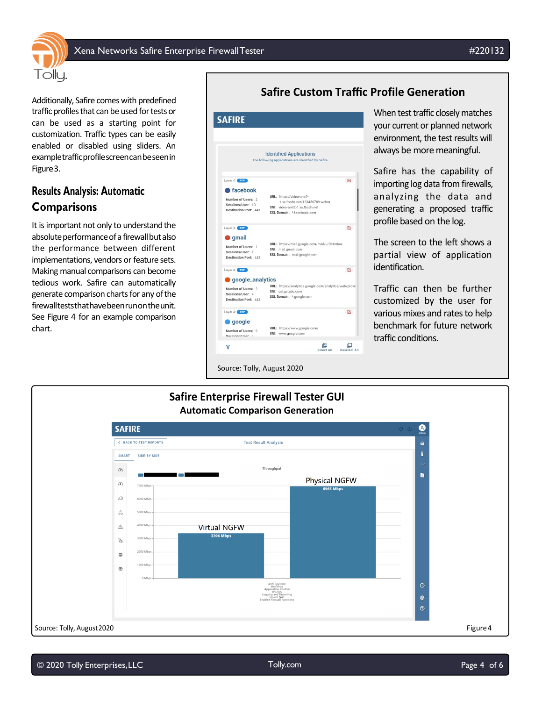

Additionally, Safire comes with predefined traffic profiles that can be used for tests or can be used as a starting point for customization. Traffic types can be easily enabled or disabled using sliders. An exampletrafficprofilescreencanbeseenin Figure3.

#### **Results Analysis: Automatic Comparisons**

Tollu.

It is important not only to understand the absolute performance of a firewall but also the performance between different implementations, vendors or feature sets. Making manual comparisons can become tedious work. Safire can automatically generate comparison charts for any ofthe firewallteststhathavebeenrunontheunit. See Figure 4 for an example comparison chart.

#### **Safire Custom Traffic Profile Generation**



When test traffic closely matches your current or planned network environment, the test results will always be more meaningful.

Safire has the capability of importing log data from firewalls, analyzing the data and generating a proposed traffic profile based on the log.

The screen to the left shows a partial view of application identification.

Traffic can then be further customized by the user for various mixes and rates to help benchmark for future network traffic conditions.

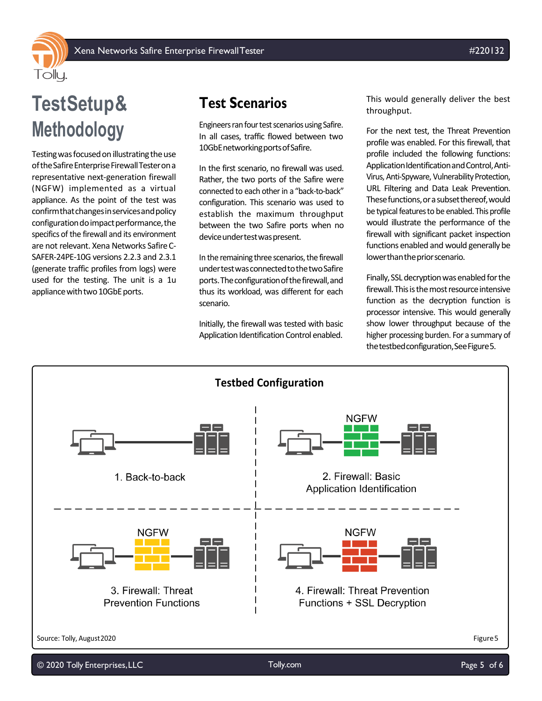

# **TestSetup& Methodology**

Testing was focused on illustrating the use of the Safire Enterprise Firewall Tester on a representative next-generation firewall (NGFW) implemented as a virtual appliance. As the point of the test was confirmthatchangesinservicesandpolicy configuration do impact performance, the specifics of the firewall and its environment are not relevant. Xena Networks SafireC-SAFER-24PE-10G versions 2.2.3 and 2.3.1 (generate traffic profiles from logs) were used for the testing. The unit is a 1u appliance with two 10GbE ports.

## **Test Scenarios**

Engineers ran four test scenarios using Safire. In all cases, traffic flowed between two 10GbEnetworkingportsofSafire.

In the first scenario, no firewall was used. Rather, the two ports of the Safire were connected to each other in a "back-to-back" configuration. This scenario was used to establish the maximum throughput between the two Safire ports when no device under test was present.

In the remaining three scenarios, the firewall undertestwasconnectedtothetwoSafire ports.Theconfigurationofthefirewall,and thus its workload, was different for each scenario.

Initially, the firewall was tested with basic Application Identification Control enabled.

This would generally deliver the best throughput.

For the next test, the Threat Prevention profile was enabled. For this firewall, that profile included the following functions: Application Identification and Control, Anti-Virus, Anti-Spyware, Vulnerability Protection, URL Filtering and Data Leak Prevention. These functions, or a subset thereof, would be typical features to be enabled. This profile would illustrate the performance of the firewall with significant packet inspection functions enabled and would generally be lower than the prior scenario.

Finally, SSL decryption was enabled for the firewall. This is the most resource intensive function as the decryption function is processor intensive. This would generally show lower throughput because of the higher processing burden. For a summary of the testbed configuration, See Figure 5.